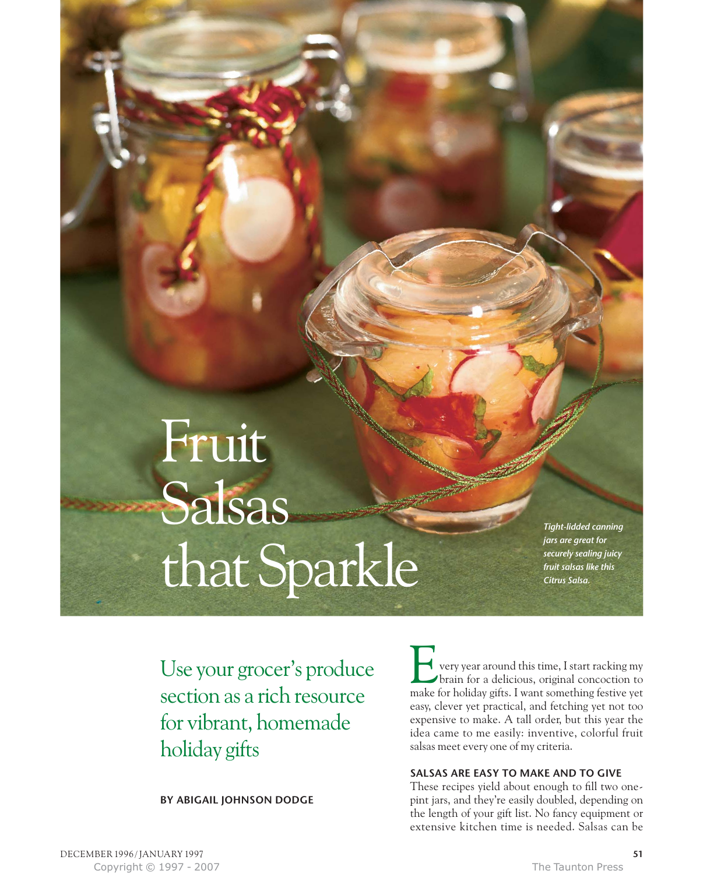# Fruit Salsas that Sparkle

*Tight-lidded canning jars are great for securely sealing juicy fruit salsas like this Citrus Salsa.*

Use your grocer's produce section as a rich resource for vibrant, homemade holiday gifts

**BY ABIGAIL JOHNSON DODGE**

very year around this time, I start racking my brain for a delicious, original concoction to The very year around this time, I start racking my brain for a delicious, original concoction to make for holiday gifts. I want something festive yet easy, clever yet practical, and fetching yet not too expensive to make. A tall order, but this year the idea came to me easily: inventive, colorful fruit salsas meet every one of my criteria.

# **SALSAS ARE EASY TO MAKE AND TO GIVE**

These recipes yield about enough to fill two onepint jars, and they're easily doubled, depending on the length of your gift list. No fancy equipment or extensive kitchen time is needed. Salsas can be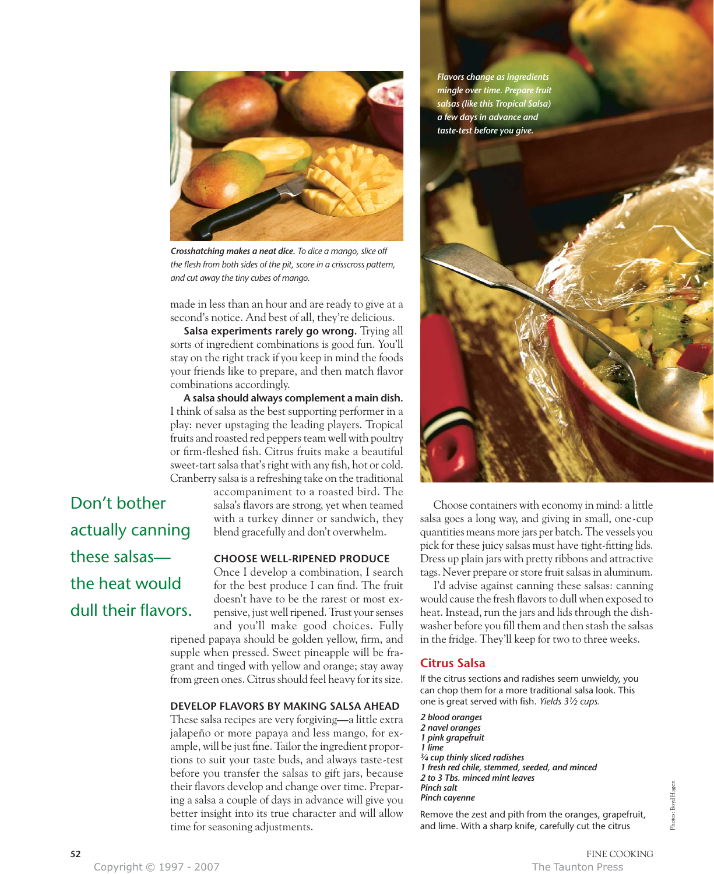

*Crosshatching makes a neat dice. To dice a mango, slice off the flesh from both sides of the pit, score in a crisscross pattern, and cut away the tiny cubes of mango.*

made in less than an hour and are ready to give at a second's notice. And best of all, they're delicious.

Salsa experiments rarely go wrong. Trying all sorts of ingredient combinations is good fun. You'll stay on the right track if you keep in mind the foods your friends like to prepare, and then match flavor combinations accordingly.

**A salsa should always complement a main dish.** I think of salsa as the best supporting performer in a play: never upstaging the leading players. Tropical fruits and roasted red peppers team well with poultry or firm-fleshed fish. Citrus fruits make a beautiful sweet-tart salsa that's right with any fish, hot or cold. Cranberry salsa is a refreshing take on the traditional

accompaniment to a roasted bird. The salsa's flavors are strong, yet when teamed with a turkey dinner or sandwich, they blend gracefully and don't overwhelm.

### **CHOOSE WELL-RIPENED PRODUCE**

Once I develop a combination, I search for the best produce I can find. The fruit doesn't have to be the rarest or most expensive, just well ripened. Trust your senses and you'll make good choices. Fully

ripened papaya should be golden yellow, firm, and supple when pressed. Sweet pineapple will be fragrant and tinged with yellow and orange; stay away from green ones. Citrus should feel heavy for its size.

### **DEVELOP FLAVORS BY MAKING SALSA AHEAD**

These salsa recipes are very forgiving**—**a little extra jalapeño or more papaya and less mango, for example, will be just fine. Tailor the ingredient proportions to suit your taste buds, and always taste-test before you transfer the salsas to gift jars, because their flavors develop and change over time. Preparing a salsa a couple of days in advance will give you better insight into its true character and will allow time for seasoning adjustments.

*Flavors change as ingredients mingle over time. Prepare fruit salsas (like this Tropical Salsa) a few days in advance and*



Choose containers with economy in mind: a little salsa goes a long way, and giving in small, one-cup quantities means more jars per batch. The vessels you pick for these juicy salsas must have tight-fitting lids. Dress up plain jars with pretty ribbons and attractive tags. Never prepare or store fruit salsas in aluminum.

I'd advise against canning these salsas: canning would cause the fresh flavors to dull when exposed to heat. Instead, run the jars and lids through the dishwasher before you fill them and then stash the salsas in the fridge. They'll keep for two to three weeks.

### **Citrus Salsa**

If the citrus sections and radishes seem unwieldy, you can chop them for a more traditional salsa look. This one is great served with fish. *Yields 31⁄2 cups.*

*2 blood oranges 2 navel oranges 1 pink grapefruit 1 lime 3⁄4 cup thinly sliced radishes 1 fresh red chile, stemmed, seeded, and minced 2 to 3 Tbs. minced mint leaves Pinch salt Pinch cayenne*

Remove the zest and pith from the oranges, grapefruit, and lime. With a sharp knife, carefully cut the citrus

Don't bother actually canning these salsas the heat would dull their flavors.